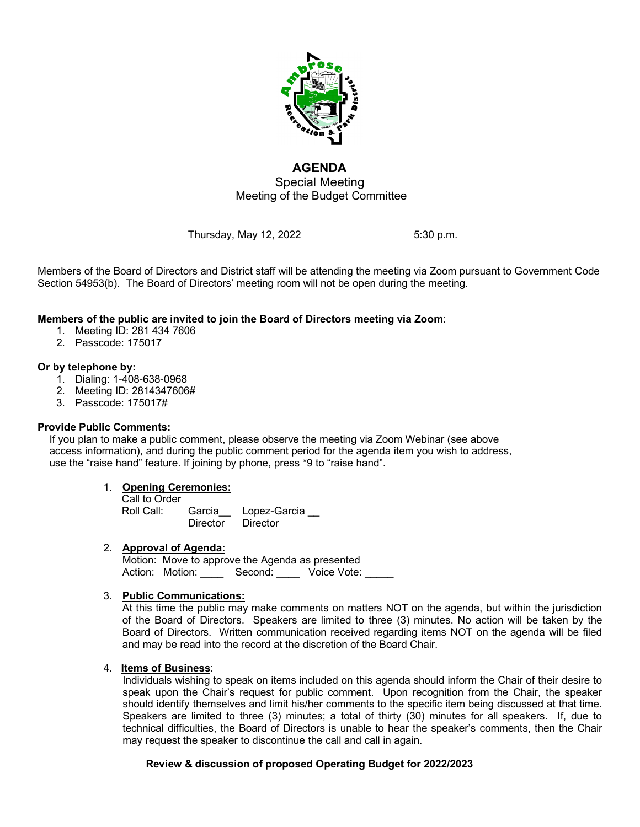

# **AGENDA** Special Meeting Meeting of the Budget Committee

Thursday, May 12, 2022 5:30 p.m.

Members of the Board of Directors and District staff will be attending the meeting via Zoom pursuant to Government Code Section 54953(b). The Board of Directors' meeting room will not be open during the meeting.

## **Members of the public are invited to join the Board of Directors meeting via Zoom**:

- 1. Meeting ID: 281 434 7606
- 2. Passcode: 175017

### **Or by telephone by:**

- 1. Dialing: 1-408-638-0968
- 2. Meeting ID: 2814347606#
- 3. Passcode: 175017#

### **Provide Public Comments:**

 If you plan to make a public comment, please observe the meeting via Zoom Webinar (see above access information), and during the public comment period for the agenda item you wish to address, use the "raise hand" feature. If joining by phone, press \*9 to "raise hand".

### 1. **Opening Ceremonies:**

| Call to Order |          |                     |
|---------------|----------|---------------------|
| Roll Call:    |          | Garcia Lopez-Garcia |
|               | Director | Director            |

### 2. **Approval of Agenda:**

Motion:Move to approve the Agenda as presented Action: Motion: Second: Voice Vote:

### 3. **Public Communications:**

At this time the public may make comments on matters NOT on the agenda, but within the jurisdiction of the Board of Directors. Speakers are limited to three (3) minutes. No action will be taken by the Board of Directors. Written communication received regarding items NOT on the agenda will be filed and may be read into the record at the discretion of the Board Chair.

### 4. **Items of Business**:

Individuals wishing to speak on items included on this agenda should inform the Chair of their desire to speak upon the Chair's request for public comment. Upon recognition from the Chair, the speaker should identify themselves and limit his/her comments to the specific item being discussed at that time. Speakers are limited to three (3) minutes; a total of thirty (30) minutes for all speakers. If, due to technical difficulties, the Board of Directors is unable to hear the speaker's comments, then the Chair may request the speaker to discontinue the call and call in again.

### **Review & discussion of proposed Operating Budget for 2022/2023**